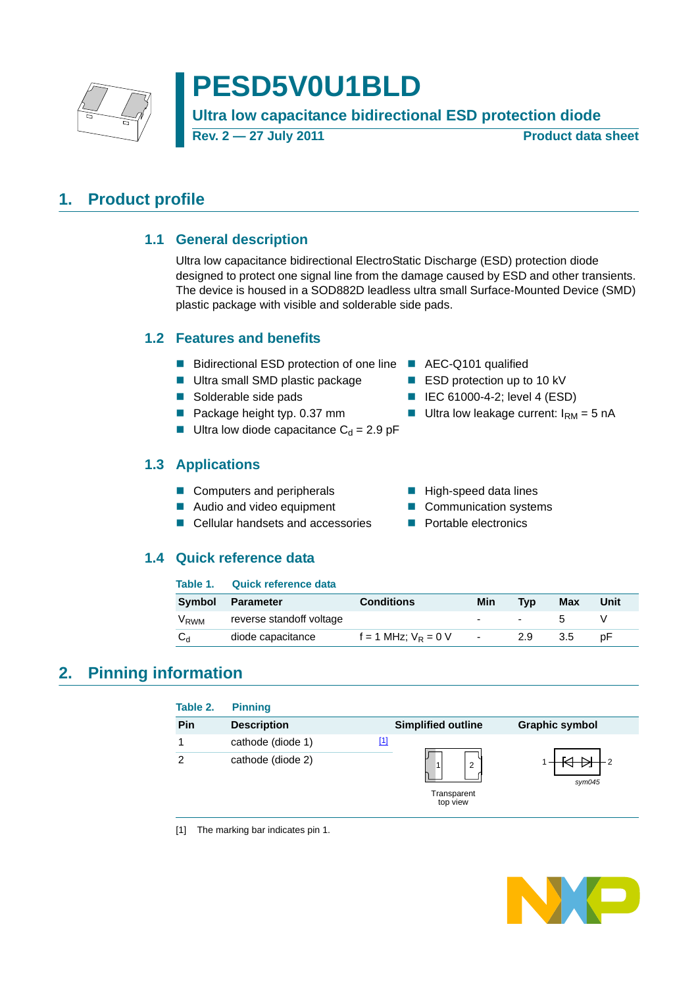

# **PESD5V0U1BLD**

**Ultra low capacitance bidirectional ESD protection diode**

**Rev. 2 — 27 July 2011 Product data sheet**

## <span id="page-0-3"></span><span id="page-0-2"></span>**1. Product profile**

### **1.1 General description**

Ultra low capacitance bidirectional ElectroStatic Discharge (ESD) protection diode designed to protect one signal line from the damage caused by ESD and other transients. The device is housed in a SOD882D leadless ultra small Surface-Mounted Device (SMD) plastic package with visible and solderable side pads.

### <span id="page-0-4"></span>**1.2 Features and benefits**

- Bidirectional ESD protection of one line AEC-Q101 qualified
- Ultra small SMD plastic package ESD protection up to 10 kV
- 
- 
- **Ultra low diode capacitance C<sub>d</sub> = 2.9 pF**

### <span id="page-0-5"></span>**1.3 Applications**

- Computers and peripherals High-speed data lines
- Audio and video equipment Communication systems
- $\blacksquare$  Cellular handsets and accessories  $\blacksquare$  Portable electronics

### <span id="page-0-6"></span>**1.4 Quick reference data**

- 
- Solderable side pads IEC 61000-4-2; level 4 (ESD)
- Package height typ. 0.37 mm Ultra low leakage current:  $I_{\rm RM} = 5$  nA
	-
	-
	-

## **Table 1. Quick reference data**

|         | Symbol Parameter                          | <b>Conditions</b>        | Min                               | <b>Tvp</b>                        | Max  | Unit |
|---------|-------------------------------------------|--------------------------|-----------------------------------|-----------------------------------|------|------|
|         | V <sub>RWM</sub> reverse standoff voltage |                          |                                   | the control of the control of the |      |      |
| $C_{d}$ | diode capacitance                         | $f = 1$ MHz: $V_R = 0$ V | <b>Contract Contract Contract</b> | 2.9                               | -3.5 | D⊢   |

## <span id="page-0-1"></span>**2. Pinning information**

| Table 2. | <b>Pinning</b>     |                           |                       |
|----------|--------------------|---------------------------|-----------------------|
| Pin      | <b>Description</b> | <b>Simplified outline</b> | <b>Graphic symbol</b> |
|          | cathode (diode 1)  | <u>[1]</u>                |                       |
| 2        | cathode (diode 2)  | 2<br>1                    | sym045                |
|          |                    | Transparent<br>top view   |                       |

<span id="page-0-0"></span>[1] The marking bar indicates pin 1.

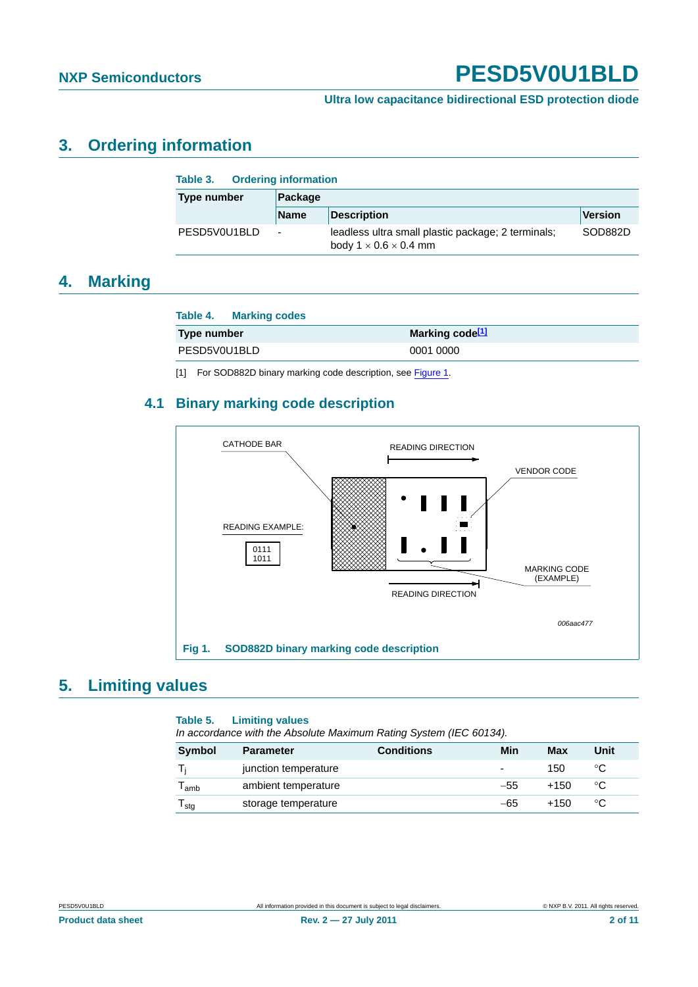#### **Ultra low capacitance bidirectional ESD protection diode**

## <span id="page-1-2"></span>**3. Ordering information**

| <b>Ordering information</b><br>Table 3. |                |                                                                                         |         |  |  |  |  |
|-----------------------------------------|----------------|-----------------------------------------------------------------------------------------|---------|--|--|--|--|
| <b>Type number</b>                      | Package        |                                                                                         |         |  |  |  |  |
|                                         | <b>Name</b>    | <b>Description</b>                                                                      | Version |  |  |  |  |
| PESD5V0U1BLD                            | $\blacksquare$ | leadless ultra small plastic package; 2 terminals;<br>body $1 \times 0.6 \times 0.4$ mm | SOD882D |  |  |  |  |

## <span id="page-1-3"></span>**4. Marking**

| Table 4. Marking codes |                             |
|------------------------|-----------------------------|
| Type number            | Marking code <sup>[1]</sup> |
| PESD5V0U1BLD           | 0001 0000                   |

<span id="page-1-0"></span>[1] For SOD882D binary marking code description, see [Figure 1.](#page-1-1)

#### <span id="page-1-4"></span>**4.1 Binary marking code description**



### <span id="page-1-5"></span>**5. Limiting values**

### <span id="page-1-1"></span>**Table 5. Limiting values**

| In accordance with the Absolute Maximum Rating System (IEC 60134). |                      |                   |                          |            |      |
|--------------------------------------------------------------------|----------------------|-------------------|--------------------------|------------|------|
| <b>Symbol</b>                                                      | <b>Parameter</b>     | <b>Conditions</b> | Min                      | <b>Max</b> | Unit |
|                                                                    | junction temperature |                   | $\overline{\phantom{0}}$ | 150        | °C   |
| $T_{\mathsf{amb}}$                                                 | ambient temperature  |                   | $-55$                    | +150       | °೧   |
| $I_{\text{stq}}$                                                   | storage temperature  |                   | -65                      | +150       | °C   |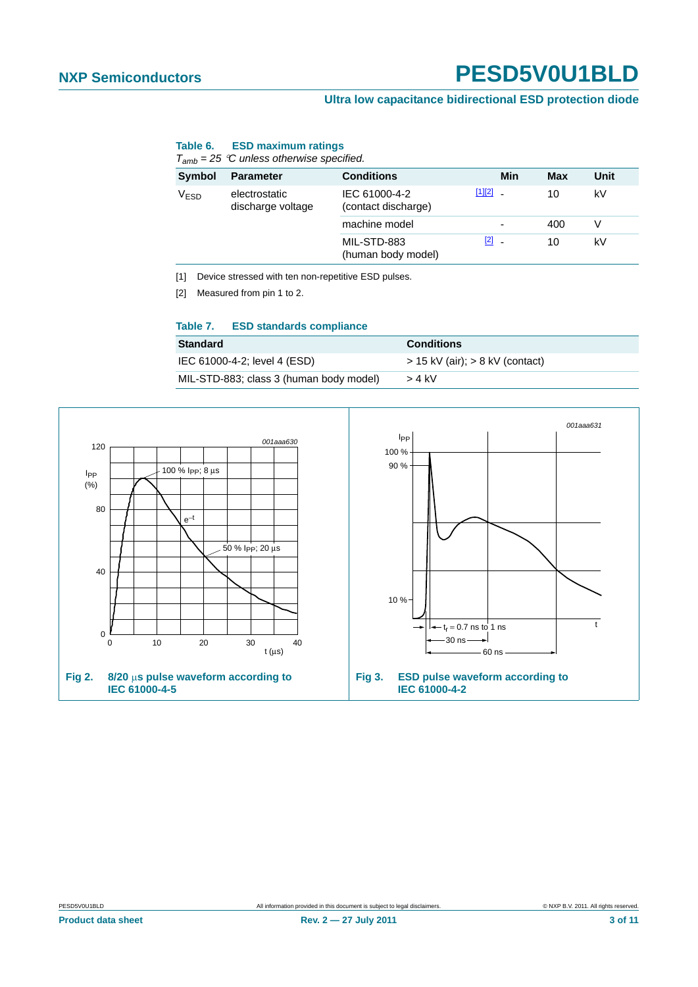#### **Ultra low capacitance bidirectional ESD protection diode**

#### **Table 6. ESD maximum ratings**

*Tamb = 25 C unless otherwise specified.*

| Symbol           | <b>Parameter</b>                   | <b>Conditions</b>                    | Min           | Max | Unit |
|------------------|------------------------------------|--------------------------------------|---------------|-----|------|
| V <sub>ESD</sub> | electrostatic<br>discharge voltage | IEC 61000-4-2<br>(contact discharge) | $[1][2]$ $-$  | 10  | kV   |
|                  |                                    | machine model                        | ٠             | 400 |      |
|                  |                                    | MIL-STD-883<br>(human body model)    | $\boxed{2}$ . | 10  | kV   |

<span id="page-2-1"></span>[1] Device stressed with ten non-repetitive ESD pulses.

<span id="page-2-0"></span>[2] Measured from pin 1 to 2.

#### **Table 7. ESD standards compliance**

| <b>Standard</b>                         | <b>Conditions</b>                   |
|-----------------------------------------|-------------------------------------|
| IEC 61000-4-2; level 4 (ESD)            | $>$ 15 kV (air); $>$ 8 kV (contact) |
| MIL-STD-883; class 3 (human body model) | $>$ 4 kV                            |

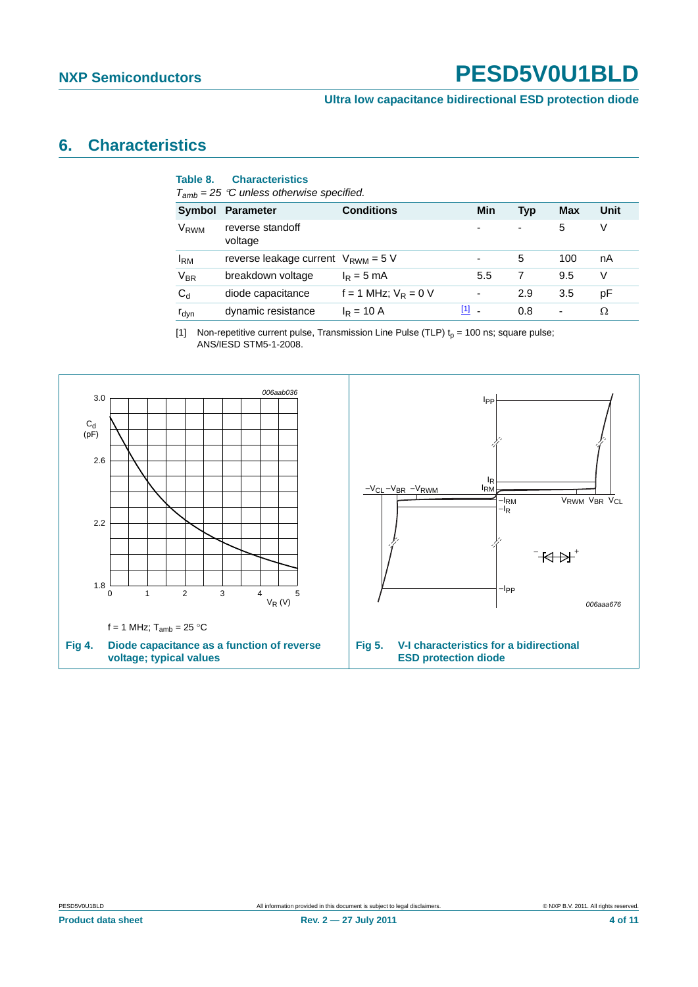**Ultra low capacitance bidirectional ESD protection diode**

## <span id="page-3-1"></span>**6. Characteristics**

| Table 8.         | <b>Characteristics</b><br>$T_{amb}$ = 25 °C unless otherwise specified. |                          |                          |                          |            |      |
|------------------|-------------------------------------------------------------------------|--------------------------|--------------------------|--------------------------|------------|------|
| Symbol           | <b>Parameter</b>                                                        | <b>Conditions</b>        | Min                      | <b>Typ</b>               | <b>Max</b> | Unit |
| V <sub>RWM</sub> | reverse standoff<br>voltage                                             |                          | $\overline{\phantom{a}}$ | $\overline{\phantom{0}}$ | 5          | V    |
| $I_{\rm RM}$     | reverse leakage current $V_{\rm RWM} = 5 V$                             |                          |                          | 5                        | 100        | nA   |
| $V_{BR}$         | breakdown voltage                                                       | $I_R = 5$ mA             | 5.5                      | 7                        | 9.5        | V    |
| $C_d$            | diode capacitance                                                       | $f = 1$ MHz; $V_R = 0$ V | $\blacksquare$           | 2.9                      | 3.5        | рF   |
| $r_{dyn}$        | dynamic resistance                                                      | $I_R = 10 A$             | $\boxed{1}$ .            | 0.8                      | -          | Ω    |
|                  |                                                                         |                          |                          |                          |            |      |

<span id="page-3-0"></span>[1] Non-repetitive current pulse, Transmission Line Pulse (TLP)  $t_p = 100$  ns; square pulse; ANS/IESD STM5-1-2008.

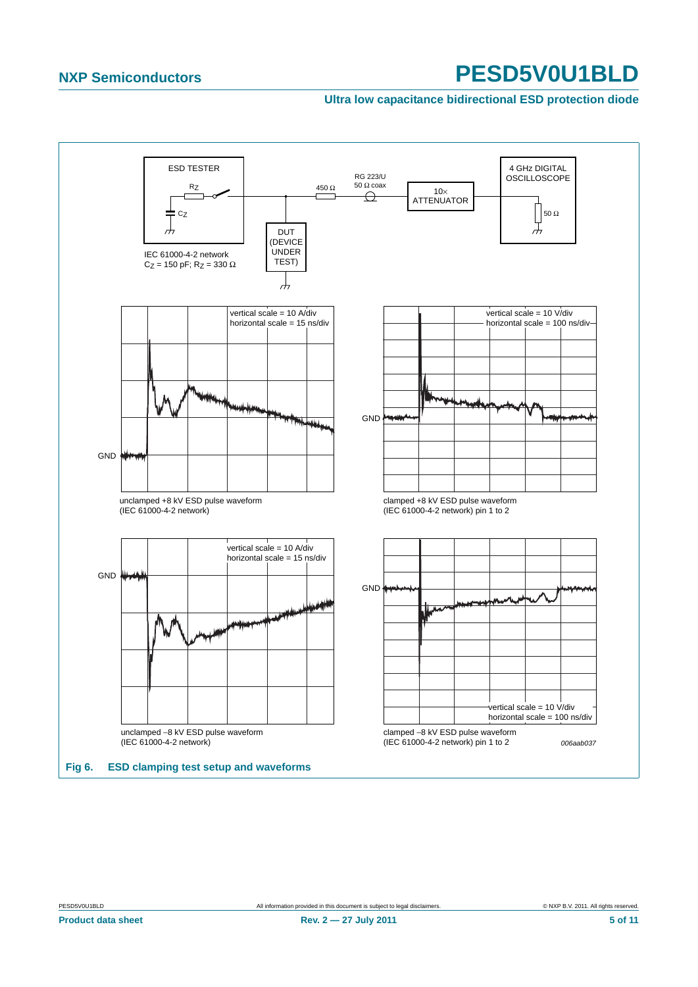#### **Ultra low capacitance bidirectional ESD protection diode**

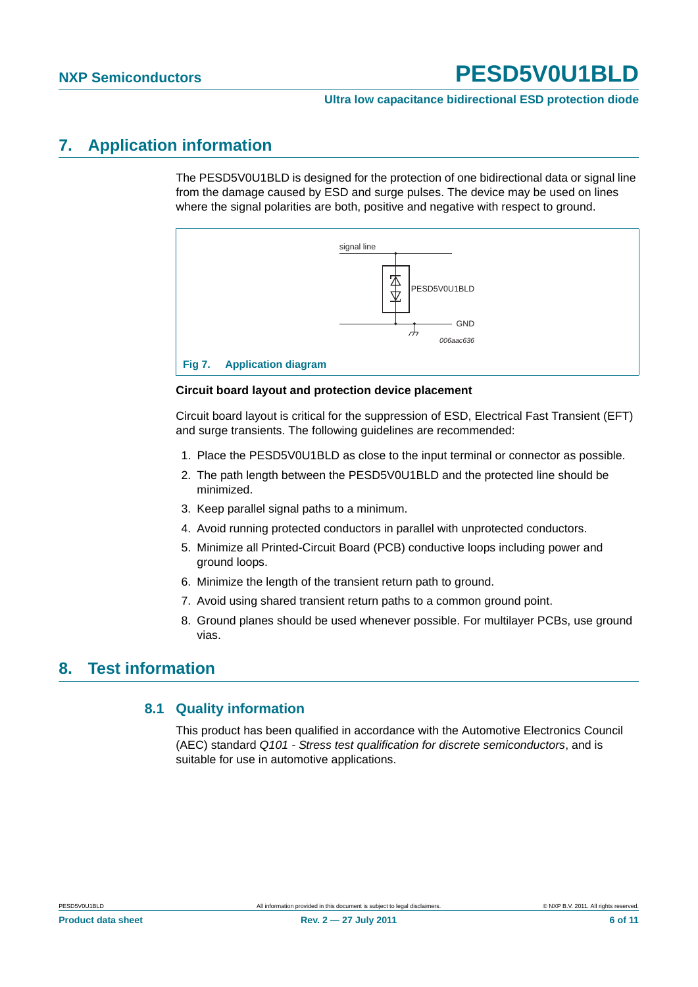#### **Ultra low capacitance bidirectional ESD protection diode**

## <span id="page-5-0"></span>**7. Application information**

The PESD5V0U1BLD is designed for the protection of one bidirectional data or signal line from the damage caused by ESD and surge pulses. The device may be used on lines where the signal polarities are both, positive and negative with respect to ground.



#### **Circuit board layout and protection device placement**

Circuit board layout is critical for the suppression of ESD, Electrical Fast Transient (EFT) and surge transients. The following guidelines are recommended:

- 1. Place the PESD5V0U1BLD as close to the input terminal or connector as possible.
- 2. The path length between the PESD5V0U1BLD and the protected line should be minimized.
- 3. Keep parallel signal paths to a minimum.
- 4. Avoid running protected conductors in parallel with unprotected conductors.
- 5. Minimize all Printed-Circuit Board (PCB) conductive loops including power and ground loops.
- 6. Minimize the length of the transient return path to ground.
- 7. Avoid using shared transient return paths to a common ground point.
- 8. Ground planes should be used whenever possible. For multilayer PCBs, use ground vias.

## <span id="page-5-2"></span><span id="page-5-1"></span>**8. Test information**

#### **8.1 Quality information**

This product has been qualified in accordance with the Automotive Electronics Council (AEC) standard *Q101 - Stress test qualification for discrete semiconductors*, and is suitable for use in automotive applications.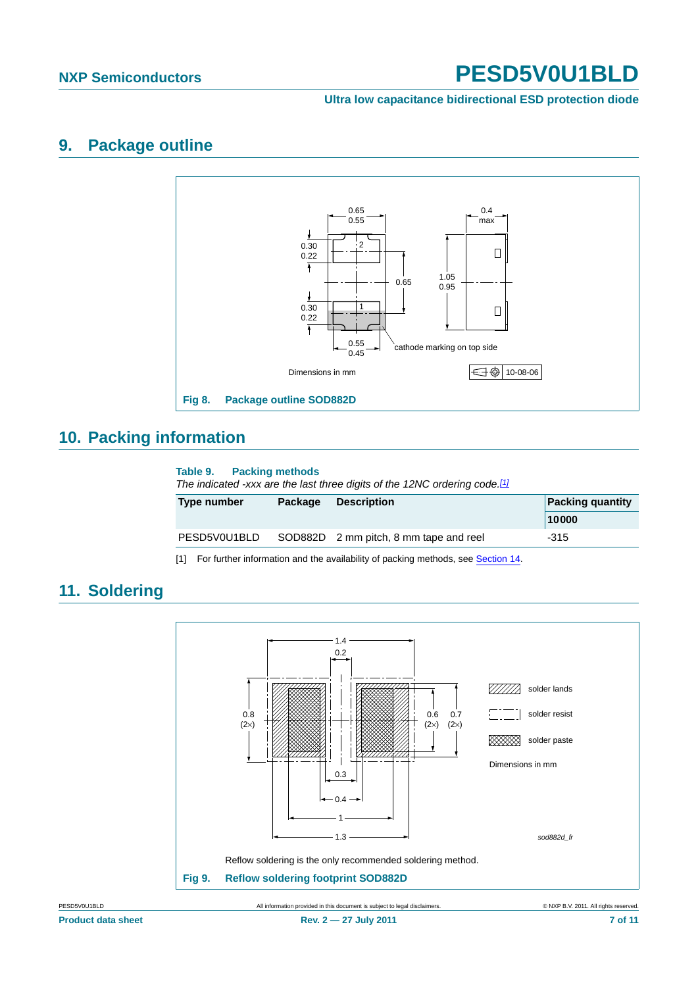#### **Ultra low capacitance bidirectional ESD protection diode**

## <span id="page-6-1"></span>**9. Package outline**



## <span id="page-6-2"></span>**10. Packing information**

#### **Table 9. Packing methods**

*The indicated -xxx are the last three digits of the 12NC ordering code.[\[1\]](#page-6-0)*

| Type number  | Package | <b>Description</b>                     | <b>Packing quantity</b> |
|--------------|---------|----------------------------------------|-------------------------|
|              |         |                                        | 10000                   |
| PESD5V0U1BLD |         | SOD882D 2 mm pitch, 8 mm tape and reel | $-315$                  |

<span id="page-6-0"></span>[1] For further information and the availability of packing methods, see [Section 14](#page-9-0).

#### Reflow soldering is the only recommended soldering method. **Fig 9. Reflow soldering footprint SOD882D**  $\sqrt{Z}/Z/\sqrt{Z}$  solder lands solder resist **XXXX** solder paste *sod882d\_fr* Dimensions in mm 1.4 0.2 0.3 0.4 1 1.3 0.8  $(2\times)$ 0.6  $(2\times)$ 0.7  $(2\times)$

## <span id="page-6-3"></span>**11. Soldering**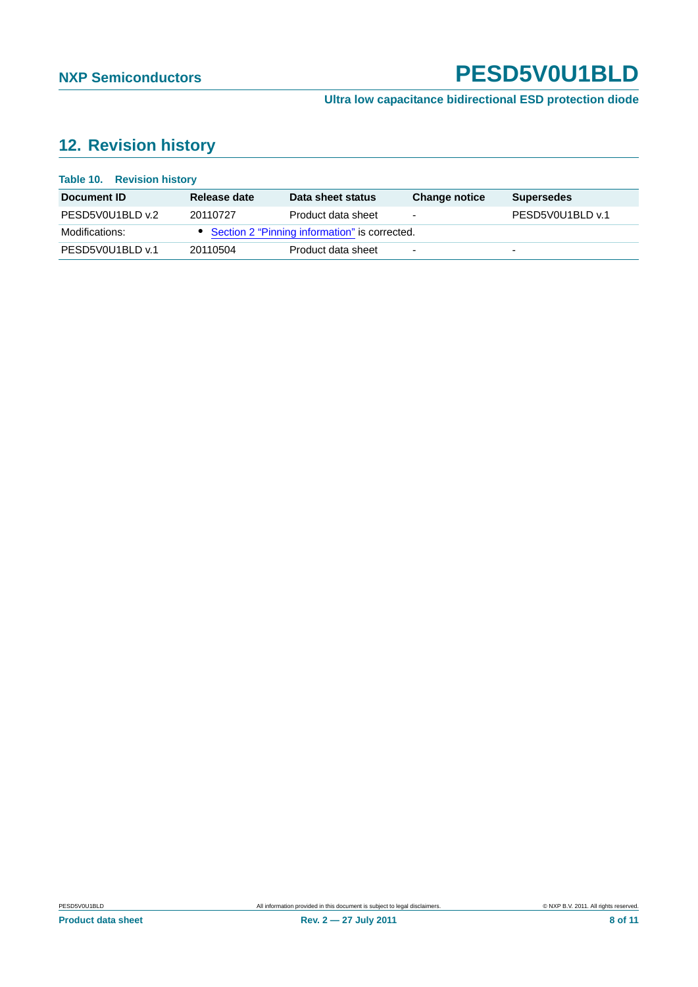**Ultra low capacitance bidirectional ESD protection diode**

## <span id="page-7-0"></span>**12. Revision history**

| <b>Table 10. Revision history</b> |              |                                                 |                          |                   |
|-----------------------------------|--------------|-------------------------------------------------|--------------------------|-------------------|
| Document ID                       | Release date | Data sheet status                               | <b>Change notice</b>     | <b>Supersedes</b> |
| PESD5V0U1BLD v.2                  | 20110727     | Product data sheet                              | $\overline{\phantom{0}}$ | PESD5V0U1BLD v.1  |
| Modifications:                    |              | • Section 2 "Pinning information" is corrected. |                          |                   |
| PESD5V0U1BLD v.1                  | 20110504     | Product data sheet                              | $\overline{\phantom{a}}$ | $\overline{a}$    |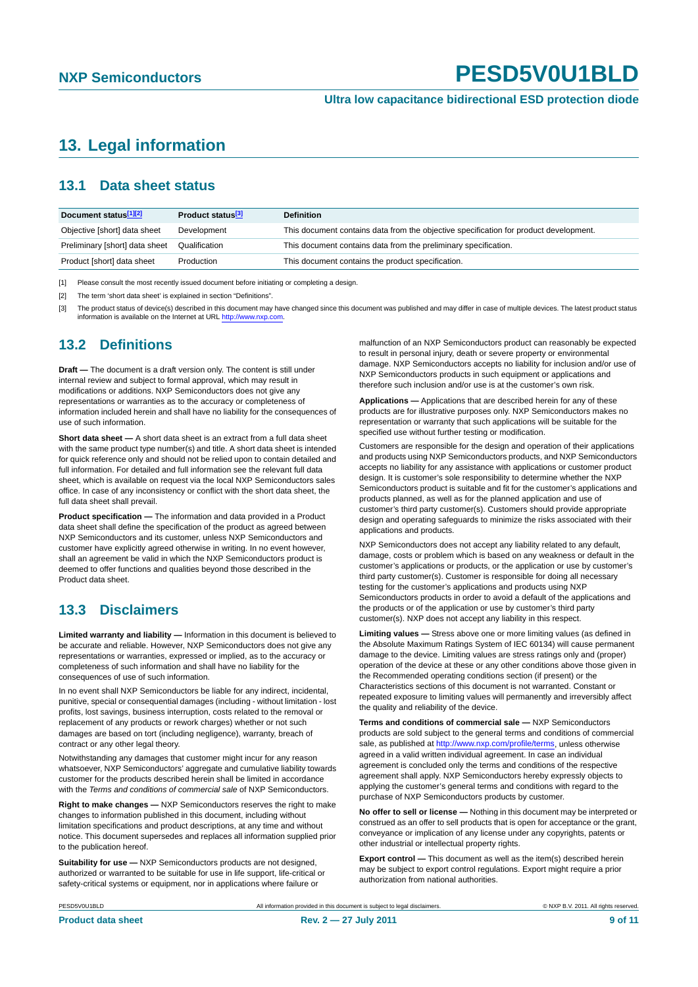## <span id="page-8-0"></span>**13. Legal information**

#### <span id="page-8-1"></span>**13.1 Data sheet status**

| Document status[1][2]          | Product status <sup>[3]</sup> | <b>Definition</b>                                                                     |
|--------------------------------|-------------------------------|---------------------------------------------------------------------------------------|
| Objective [short] data sheet   | Development                   | This document contains data from the objective specification for product development. |
| Preliminary [short] data sheet | Qualification                 | This document contains data from the preliminary specification.                       |
| Product [short] data sheet     | Production                    | This document contains the product specification.                                     |

[1] Please consult the most recently issued document before initiating or completing a design.

[2] The term 'short data sheet' is explained in section "Definitions".

[3] The product status of device(s) described in this document may have changed since this document was published and may differ in case of multiple devices. The latest product status<br>information is available on the Intern

#### <span id="page-8-2"></span>**13.2 Definitions**

**Draft —** The document is a draft version only. The content is still under internal review and subject to formal approval, which may result in modifications or additions. NXP Semiconductors does not give any representations or warranties as to the accuracy or completeness of information included herein and shall have no liability for the consequences of use of such information.

**Short data sheet —** A short data sheet is an extract from a full data sheet with the same product type number(s) and title. A short data sheet is intended for quick reference only and should not be relied upon to contain detailed and full information. For detailed and full information see the relevant full data sheet, which is available on request via the local NXP Semiconductors sales office. In case of any inconsistency or conflict with the short data sheet, the full data sheet shall prevail.

**Product specification —** The information and data provided in a Product data sheet shall define the specification of the product as agreed between NXP Semiconductors and its customer, unless NXP Semiconductors and customer have explicitly agreed otherwise in writing. In no event however, shall an agreement be valid in which the NXP Semiconductors product is deemed to offer functions and qualities beyond those described in the Product data sheet.

#### <span id="page-8-3"></span>**13.3 Disclaimers**

**Limited warranty and liability —** Information in this document is believed to be accurate and reliable. However, NXP Semiconductors does not give any representations or warranties, expressed or implied, as to the accuracy or completeness of such information and shall have no liability for the consequences of use of such information.

In no event shall NXP Semiconductors be liable for any indirect, incidental, punitive, special or consequential damages (including - without limitation - lost profits, lost savings, business interruption, costs related to the removal or replacement of any products or rework charges) whether or not such damages are based on tort (including negligence), warranty, breach of contract or any other legal theory.

Notwithstanding any damages that customer might incur for any reason whatsoever, NXP Semiconductors' aggregate and cumulative liability towards customer for the products described herein shall be limited in accordance with the *Terms and conditions of commercial sale* of NXP Semiconductors.

**Right to make changes —** NXP Semiconductors reserves the right to make changes to information published in this document, including without limitation specifications and product descriptions, at any time and without notice. This document supersedes and replaces all information supplied prior to the publication hereof.

**Suitability for use —** NXP Semiconductors products are not designed, authorized or warranted to be suitable for use in life support, life-critical or safety-critical systems or equipment, nor in applications where failure or

malfunction of an NXP Semiconductors product can reasonably be expected to result in personal injury, death or severe property or environmental damage. NXP Semiconductors accepts no liability for inclusion and/or use of NXP Semiconductors products in such equipment or applications and therefore such inclusion and/or use is at the customer's own risk.

**Applications —** Applications that are described herein for any of these products are for illustrative purposes only. NXP Semiconductors makes no representation or warranty that such applications will be suitable for the specified use without further testing or modification.

Customers are responsible for the design and operation of their applications and products using NXP Semiconductors products, and NXP Semiconductors accepts no liability for any assistance with applications or customer product design. It is customer's sole responsibility to determine whether the NXP Semiconductors product is suitable and fit for the customer's applications and products planned, as well as for the planned application and use of customer's third party customer(s). Customers should provide appropriate design and operating safeguards to minimize the risks associated with their applications and products.

NXP Semiconductors does not accept any liability related to any default, damage, costs or problem which is based on any weakness or default in the customer's applications or products, or the application or use by customer's third party customer(s). Customer is responsible for doing all necessary testing for the customer's applications and products using NXP Semiconductors products in order to avoid a default of the applications and the products or of the application or use by customer's third party customer(s). NXP does not accept any liability in this respect.

**Limiting values —** Stress above one or more limiting values (as defined in the Absolute Maximum Ratings System of IEC 60134) will cause permanent damage to the device. Limiting values are stress ratings only and (proper) operation of the device at these or any other conditions above those given in the Recommended operating conditions section (if present) or the Characteristics sections of this document is not warranted. Constant or repeated exposure to limiting values will permanently and irreversibly affect the quality and reliability of the device.

**Terms and conditions of commercial sale —** NXP Semiconductors products are sold subject to the general terms and conditions of commercial sale, as published at<http://www.nxp.com/profile/terms>, unless otherwise agreed in a valid written individual agreement. In case an individual agreement is concluded only the terms and conditions of the respective agreement shall apply. NXP Semiconductors hereby expressly objects to applying the customer's general terms and conditions with regard to the purchase of NXP Semiconductors products by customer.

**No offer to sell or license —** Nothing in this document may be interpreted or construed as an offer to sell products that is open for acceptance or the grant, conveyance or implication of any license under any copyrights, patents or other industrial or intellectual property rights.

**Export control —** This document as well as the item(s) described herein may be subject to export control regulations. Export might require a prior authorization from national authorities.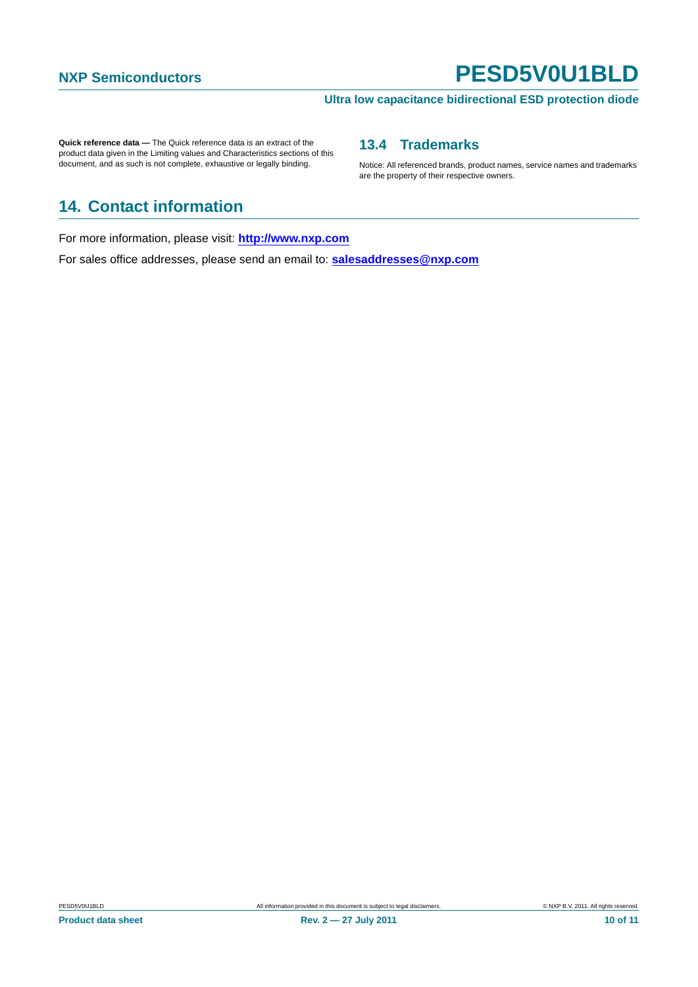#### **Ultra low capacitance bidirectional ESD protection diode**

**Quick reference data —** The Quick reference data is an extract of the product data given in the Limiting values and Characteristics sections of this document, and as such is not complete, exhaustive or legally binding.

#### <span id="page-9-1"></span>**13.4 Trademarks**

Notice: All referenced brands, product names, service names and trademarks are the property of their respective owners.

## <span id="page-9-0"></span>**14. Contact information**

For more information, please visit: **http://www.nxp.com**

For sales office addresses, please send an email to: **salesaddresses@nxp.com**